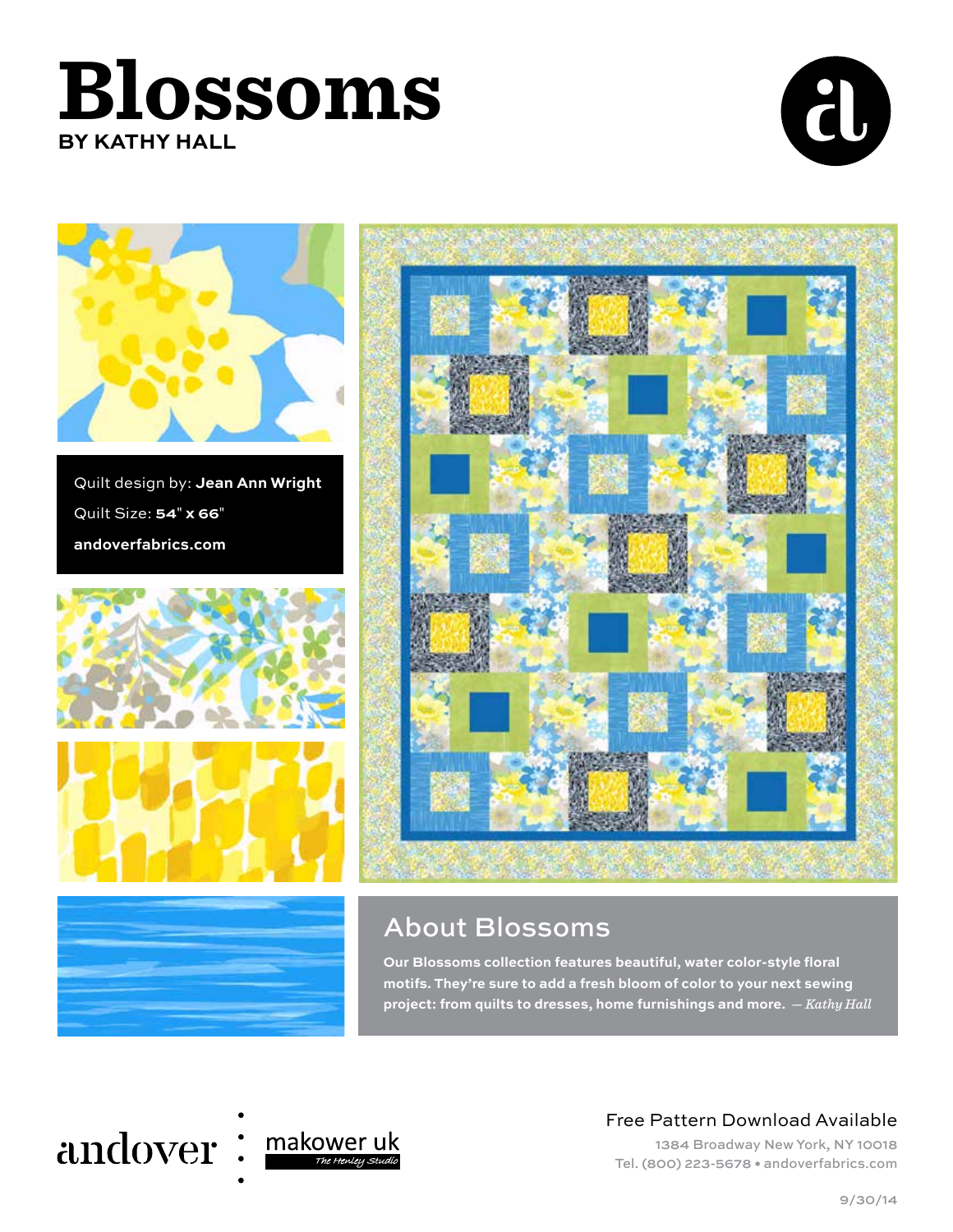





Quilt design by: **Jean Ann Wright** Quilt Size: **54**" **x 66**" **andoverfabrics.com**







# About Blossoms

**Our Blossoms collection features beautiful, water color-style floral motifs. They're sure to add a fresh bloom of color to your next sewing project: from quilts to dresses, home furnishings and more.** — *Kathy Hall*

# andover: makower uk



# Free Pattern Download Available

1384 Broadway New York, NY 10018 Tel. (800) 223-5678 • andoverfabrics.com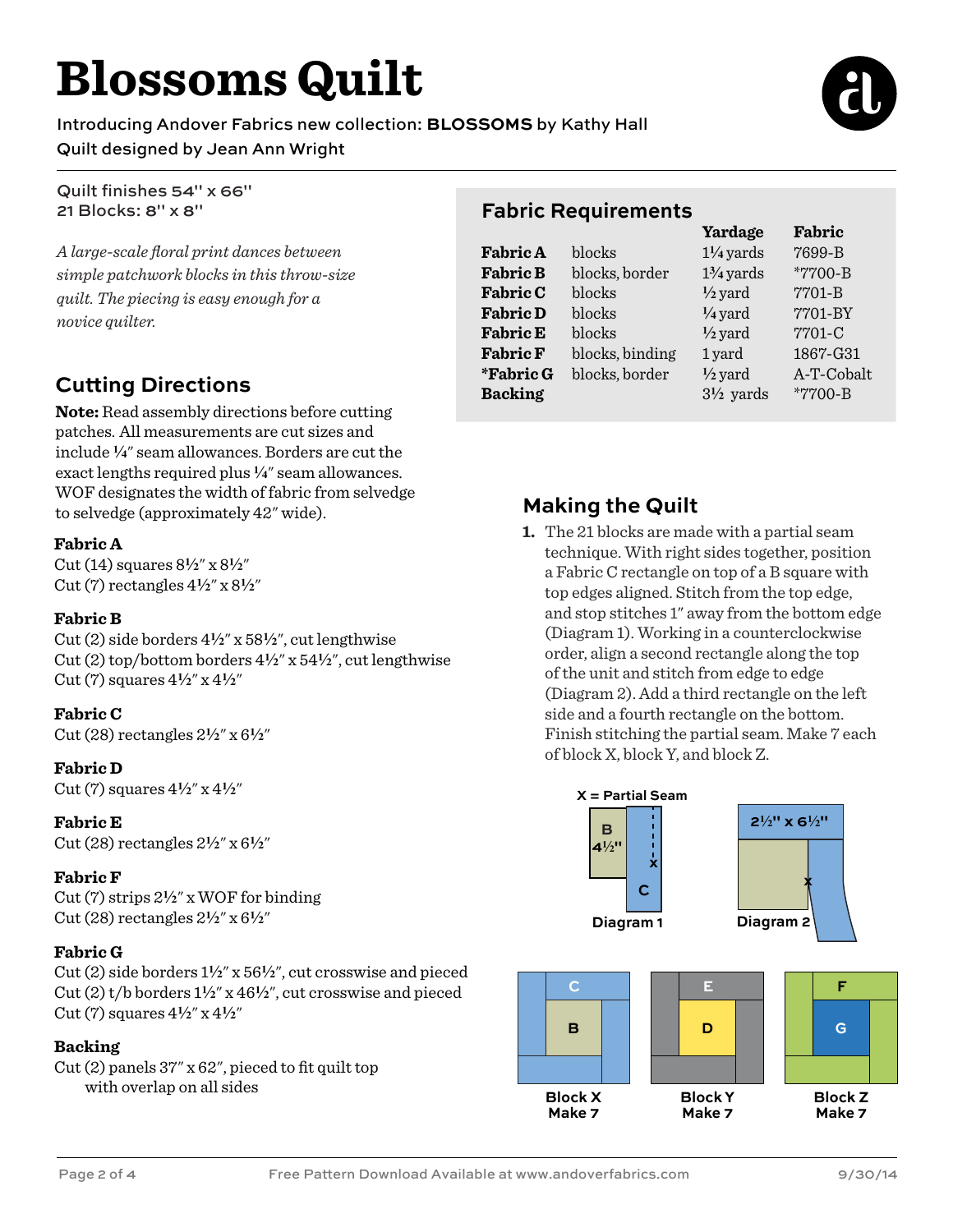# **Blossoms Quilt**

Introducing Andover Fabrics new collection: **BLOSSOMS** by Kathy Hall

### Quilt designed by Jean Ann Wright

Quilt finishes 54" x 66" 21 Blocks: 8" x 8"

*A large-scale floral print dances between simple patchwork blocks in this throw-size quilt. The piecing is easy enough for a novice quilter.* 

# **Cutting Directions**

**Note:** Read assembly directions before cutting patches. All measurements are cut sizes and include **4**" seam allowances. Borders are cut the exact lengths required plus <sup>1</sup>/<sub>4</sub>" seam allowances. WOF designates the width of fabric from selvedge to selvedge (approximately 42" wide). **Making the Quilt**

#### **Fabric A**

Cut (14) squares 8**2**" x 8**2**" Cut (7) rectangles 4**2**" x 8**2**"

#### **Fabric B**

Cut (2) side borders 4**2**" x 58**2**", cut lengthwise Cut (2) top/bottom borders 4**2**" x 54**2**", cut lengthwise  $Cut(7)$  squares  $4\frac{1}{2}$ " x  $4\frac{1}{2}$ "

#### **Fabric C**

Cut (28) rectangles 2**2**" x 6**2**"

#### **Fabric D**

 $Cut(7)$  squares  $4\frac{1}{2}$ " x  $4\frac{1}{2}$ "

#### **Fabric E**

Cut (28) rectangles 2**2**" x 6**2**"

#### **Fabric F**

Cut (7) strips 2**2**" x WOF for binding Cut (28) rectangles 2**2**" x 6**2**"

#### **Fabric G**

Cut (2) side borders 1**2**" x 56**2**", cut crosswise and pieced Cut (2) t/b borders 1**2**" x 46**2**", cut crosswise and pieced  $Cut(7)$  squares  $4\frac{1}{2}$ " x  $4\frac{1}{2}$ "

#### **Backing**

Cut (2) panels 37" x 62", pieced to fit quilt top with overlap on all sides

### **Fabric Requirements**

|                 |                 | Yardage              | Fabric     |
|-----------------|-----------------|----------------------|------------|
| <b>Fabric A</b> | blocks          | $1\frac{1}{4}$ yards | 7699-B     |
| <b>Fabric B</b> | blocks, border  | $1\frac{3}{4}$ yards | *7700-B    |
| <b>Fabric C</b> | blocks          | $\frac{1}{2}$ yard   | $7701 - B$ |
| <b>Fabric D</b> | blocks          | $\frac{1}{4}$ yard   | 7701-BY    |
| <b>Fabric E</b> | blocks          | $\frac{1}{2}$ yard   | 7701-C     |
| <b>Fabric F</b> | blocks, binding | 1 yard               | 1867-G31   |
| *Fabric G       | blocks, border  | $\frac{1}{2}$ yard   | A-T-Cobalt |
| <b>Backing</b>  |                 | $3\frac{1}{2}$ yards | *7700-B    |
|                 |                 |                      |            |

**1.** The 21 blocks are made with a partial seam technique. With right sides together, position a Fabric C rectangle on top of a B square with top edges aligned. Stitch from the top edge, and stop stitches 1" away from the bottom edge (Diagram 1). Working in a counterclockwise order, align a second rectangle along the top of the unit and stitch from edge to edge (Diagram 2). Add a third rectangle on the left side and a fourth rectangle on the bottom. Finish stitching the partial seam. Make 7 each of block X, block Y, and block Z.



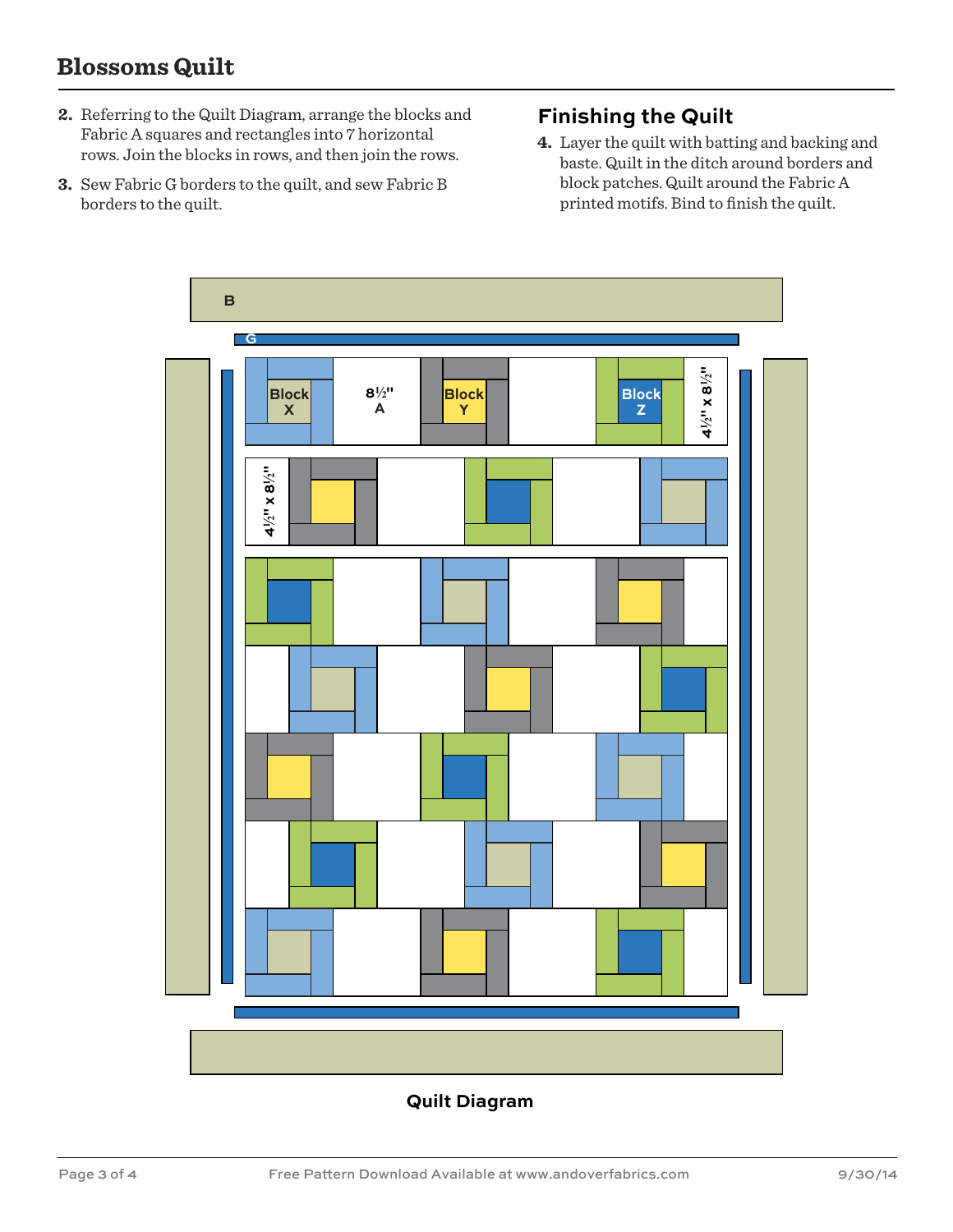## **Blossoms Quilt**

- **2.** Referring to the Quilt Diagram, arrange the blocks and Fabric A squares and rectangles into 7 horizontal rows. Join the blocks in rows, and then join the rows.
- **3.** Sew Fabric G borders to the quilt, and sew Fabric B borders to the quilt.

### **Finishing the Quilt**

**4.** Layer the quilt with batting and backing and baste. Quilt in the ditch around borders and block patches. Quilt around the Fabric A printed motifs. Bind to finish the quilt.



#### **Quilt Diagram**